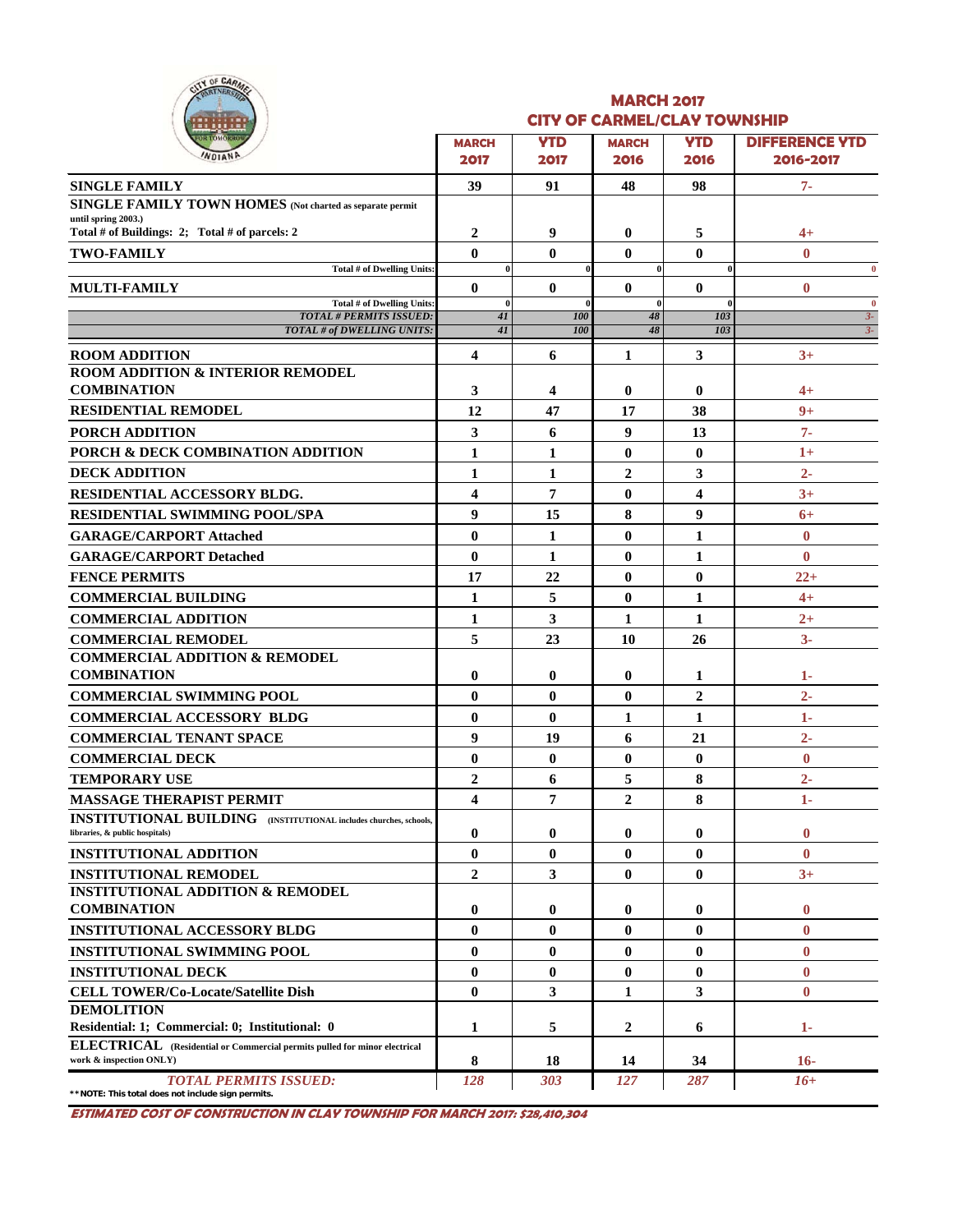|  |             | F CARMEL |  |
|--|-------------|----------|--|
|  |             |          |  |
|  | <b>OMOR</b> |          |  |

#### **MARCH 2017 CITY OF CARMEL/CLAY TOWNSHIP**

| <u>.</u><br><b>FOR TOMORROW</b>                                                                      |                         |            |                |                |                       |  |  |
|------------------------------------------------------------------------------------------------------|-------------------------|------------|----------------|----------------|-----------------------|--|--|
| WDIAN                                                                                                | <b>MARCH</b>            | <b>YTD</b> | <b>MARCH</b>   | <b>YTD</b>     | <b>DIFFERENCE YTD</b> |  |  |
|                                                                                                      | 2017                    | 2017       | 2016           | 2016           | 2016-2017             |  |  |
| <b>SINGLE FAMILY</b>                                                                                 | 39                      | 91         | 48             | 98             | $7 -$                 |  |  |
| SINGLE FAMILY TOWN HOMES (Not charted as separate permit                                             |                         |            |                |                |                       |  |  |
| until spring 2003.)<br>Total # of Buildings: 2; Total # of parcels: 2                                | $\overline{2}$          | 9          | $\bf{0}$       | 5              | 4+                    |  |  |
| <b>TWO-FAMILY</b>                                                                                    | $\mathbf{0}$            | $\bf{0}$   | $\bf{0}$       | $\mathbf{0}$   | $\bf{0}$              |  |  |
| Total # of Dwelling Units:                                                                           | $\bf{0}$                |            | $\mathbf{0}$   |                | $\mathbf{0}$          |  |  |
| <b>MULTI-FAMILY</b>                                                                                  | $\bf{0}$                | $\bf{0}$   | $\bf{0}$       | $\bf{0}$       | $\bf{0}$              |  |  |
| Total # of Dwelling Units:                                                                           | $\theta$                |            | $\bf{0}$       |                | $\bf{0}$              |  |  |
| <b>TOTAL # PERMITS ISSUED:</b><br>TOTAL # of DWELLING UNITS:                                         | 4I<br>41                | 100<br>100 | 48<br>48       | 103<br>103     | $3-$<br>$3-$          |  |  |
|                                                                                                      |                         |            |                |                |                       |  |  |
| <b>ROOM ADDITION</b><br><b>ROOM ADDITION &amp; INTERIOR REMODEL</b>                                  | $\overline{\mathbf{4}}$ | 6          | $\mathbf{1}$   | 3              | $3+$                  |  |  |
| <b>COMBINATION</b>                                                                                   | 3                       | 4          | $\bf{0}$       | $\bf{0}$       | $4+$                  |  |  |
| <b>RESIDENTIAL REMODEL</b>                                                                           | 12                      | 47         | 17             | 38             | $9+$                  |  |  |
| <b>PORCH ADDITION</b>                                                                                | 3                       | 6          | 9              | 13             | $7 -$                 |  |  |
| PORCH & DECK COMBINATION ADDITION                                                                    | $\mathbf{1}$            |            | $\bf{0}$       | $\bf{0}$       | $1+$                  |  |  |
|                                                                                                      |                         | 1          |                |                |                       |  |  |
| <b>DECK ADDITION</b>                                                                                 | 1                       | 1          | $\overline{2}$ | 3              | $2 -$                 |  |  |
| RESIDENTIAL ACCESSORY BLDG.                                                                          | $\overline{\mathbf{4}}$ | 7          | $\bf{0}$       | 4              | $3+$                  |  |  |
| <b>RESIDENTIAL SWIMMING POOL/SPA</b>                                                                 | $\boldsymbol{9}$        | 15         | 8              | 9              | $6+$                  |  |  |
| <b>GARAGE/CARPORT Attached</b>                                                                       | $\bf{0}$                | 1          | $\bf{0}$       | 1              | $\bf{0}$              |  |  |
| <b>GARAGE/CARPORT Detached</b>                                                                       | $\mathbf{0}$            | 1          | $\bf{0}$       | 1              | $\bf{0}$              |  |  |
| <b>FENCE PERMITS</b>                                                                                 | 17                      | 22         | $\bf{0}$       | $\bf{0}$       | $22+$                 |  |  |
| <b>COMMERCIAL BUILDING</b>                                                                           | 1                       | 5          | $\bf{0}$       | 1              | $4+$                  |  |  |
| <b>COMMERCIAL ADDITION</b>                                                                           | 1                       | 3          | 1              | 1              | $2+$                  |  |  |
| <b>COMMERCIAL REMODEL</b>                                                                            | 5                       | 23         | 10             | 26             | $3 -$                 |  |  |
| <b>COMMERCIAL ADDITION &amp; REMODEL</b>                                                             |                         |            |                |                |                       |  |  |
| <b>COMBINATION</b>                                                                                   | $\bf{0}$                | $\bf{0}$   | $\bf{0}$       | 1              | $1-$                  |  |  |
| <b>COMMERCIAL SWIMMING POOL</b>                                                                      | $\mathbf{0}$            | $\bf{0}$   | $\bf{0}$       | $\overline{2}$ | $2 -$                 |  |  |
| <b>COMMERCIAL ACCESSORY BLDG</b>                                                                     | $\bf{0}$                | $\bf{0}$   | 1              | 1              | $1-$                  |  |  |
| <b>COMMERCIAL TENANT SPACE</b>                                                                       | $\boldsymbol{9}$        | 19         | 6              | 21             | $2 -$                 |  |  |
| <b>COMMERCIAL DECK</b>                                                                               | $\bf{0}$                | $\bf{0}$   | $\bf{0}$       | $\bf{0}$       | $\bf{0}$              |  |  |
| <b>TEMPORARY USE</b>                                                                                 | $\overline{2}$          | 6          | 5              | 8              | $2 -$                 |  |  |
| <b>MASSAGE THERAPIST PERMIT</b>                                                                      | 4                       | 7          | $\overline{2}$ | 8              | $1-$                  |  |  |
| <b>INSTITUTIONAL BUILDING</b> (INSTITUTIONAL includes churches, schools,                             |                         |            |                |                |                       |  |  |
| libraries, & public hospitals)                                                                       | $\bf{0}$                | $\bf{0}$   | $\bf{0}$       | $\bf{0}$       | $\bf{0}$              |  |  |
| <b>INSTITUTIONAL ADDITION</b>                                                                        | $\bf{0}$                | $\bf{0}$   | $\mathbf{0}$   | $\bf{0}$       | $\bf{0}$              |  |  |
| <b>INSTITUTIONAL REMODEL</b>                                                                         | $\overline{2}$          | 3          | $\bf{0}$       | $\bf{0}$       | $3+$                  |  |  |
| <b>INSTITUTIONAL ADDITION &amp; REMODEL</b>                                                          |                         |            |                |                |                       |  |  |
| <b>COMBINATION</b>                                                                                   | $\bf{0}$                | $\bf{0}$   | $\bf{0}$       | $\bf{0}$       | $\bf{0}$              |  |  |
| <b>INSTITUTIONAL ACCESSORY BLDG</b>                                                                  | $\bf{0}$                | $\bf{0}$   | $\bf{0}$       | $\bf{0}$       | $\bf{0}$              |  |  |
| <b>INSTITUTIONAL SWIMMING POOL</b>                                                                   | $\bf{0}$                | $\bf{0}$   | $\bf{0}$       | $\bf{0}$       | $\bf{0}$              |  |  |
| <b>INSTITUTIONAL DECK</b>                                                                            | $\bf{0}$                | $\bf{0}$   | $\bf{0}$       | $\bf{0}$       | $\bf{0}$              |  |  |
| <b>CELL TOWER/Co-Locate/Satellite Dish</b>                                                           | $\bf{0}$                | 3          | 1              | 3              | $\bf{0}$              |  |  |
| <b>DEMOLITION</b>                                                                                    |                         |            |                |                |                       |  |  |
| Residential: 1; Commercial: 0; Institutional: 0                                                      | 1                       | 5          | $\mathbf{2}$   | 6              | $1-$                  |  |  |
| ELECTRICAL (Residential or Commercial permits pulled for minor electrical<br>work & inspection ONLY) | 8                       | 18         | 14             | 34             | $16-$                 |  |  |
| TOTAL PERMITS ISSUED:                                                                                | 128                     | 303        | 127            | 287            | $16+$                 |  |  |
|                                                                                                      |                         |            |                |                |                       |  |  |

**\*\*NOTE: This total does not include sign permits.**

**ESTIMATED COST OF CONSTRUCTION IN CLAY TOWNSHIP FOR MARCH 2017: \$28,410,304**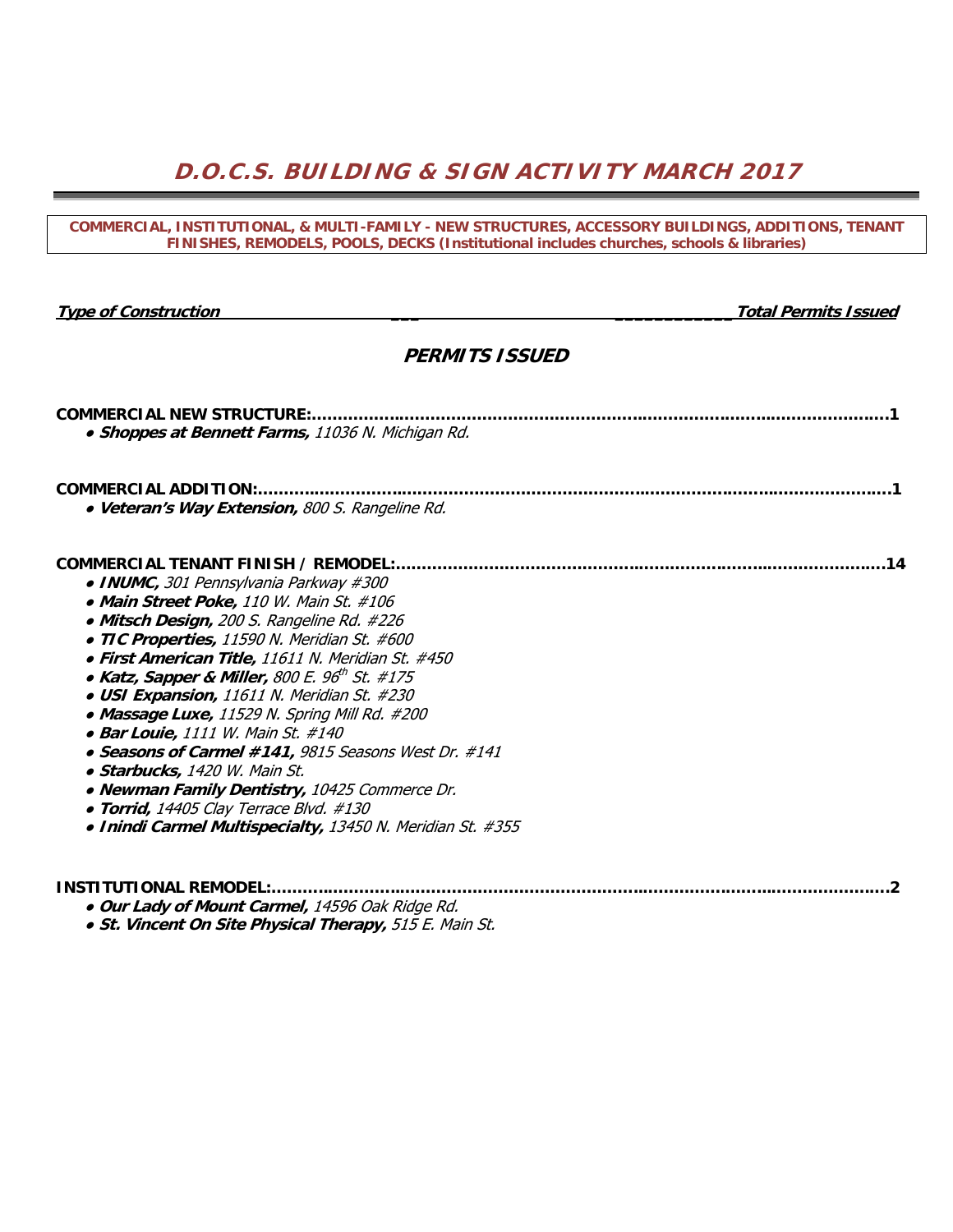# **D.O.C.S. BUILDING & SIGN ACTIVITY MARCH 2017**

#### **COMMERCIAL, INSTITUTIONAL, & MULTI-FAMILY - NEW STRUCTURES, ACCESSORY BUILDINGS, ADDITIONS, TENANT FINISHES, REMODELS, POOLS, DECKS (Institutional includes churches, schools & libraries)**

**Type of Construction \_\_\_ \_\_\_\_\_\_\_\_\_\_\_\_Total Permits Issued** 

## **PERMITS ISSUED**

| <b>COMMERCIAL NEW STRUCTURE:</b>                           |
|------------------------------------------------------------|
| · Shoppes at Bennett Farms, 11036 N. Michigan Rd.          |
| <b>COMMERCIAL ADDITION:</b>                                |
| • Veteran's Way Extension, 800 S. Rangeline Rd.            |
| <b>COMMERCIAL TENANT FINISH / REMODEL:</b>                 |
| • INUMC, 301 Pennsylvania Parkway #300                     |
| • Main Street Poke, 110 W. Main St. #106                   |
| • Mitsch Design, 200 S. Rangeline Rd. #226                 |
| • TIC Properties, 11590 N. Meridian St. #600               |
| • First American Title, 11611 N. Meridian St. #450         |
| • Katz, Sapper & Miller, 800 E. $96^{\text{th}}$ St. #175  |
| • USI Expansion, 11611 N. Meridian St. #230                |
| • Massage Luxe, 11529 N. Spring Mill Rd. #200              |
| • Bar Louie, 1111 W. Main St. #140                         |
| • Seasons of Carmel #141, 9815 Seasons West Dr. #141       |
| • Starbucks, 1420 W. Main St.                              |
| • Newman Family Dentistry, 10425 Commerce Dr.              |
| • Torrid, 14405 Clay Terrace Blvd. #130                    |
| • Inindi Carmel Multispecialty, 13450 N. Meridian St. #355 |
| INSTITUTIONAL REMODEL:                                     |
| . Our Lady of Mount Carmel, 14596 Oak Ridge Rd.            |

● **St. Vincent On Site Physical Therapy,** 515 E. Main St.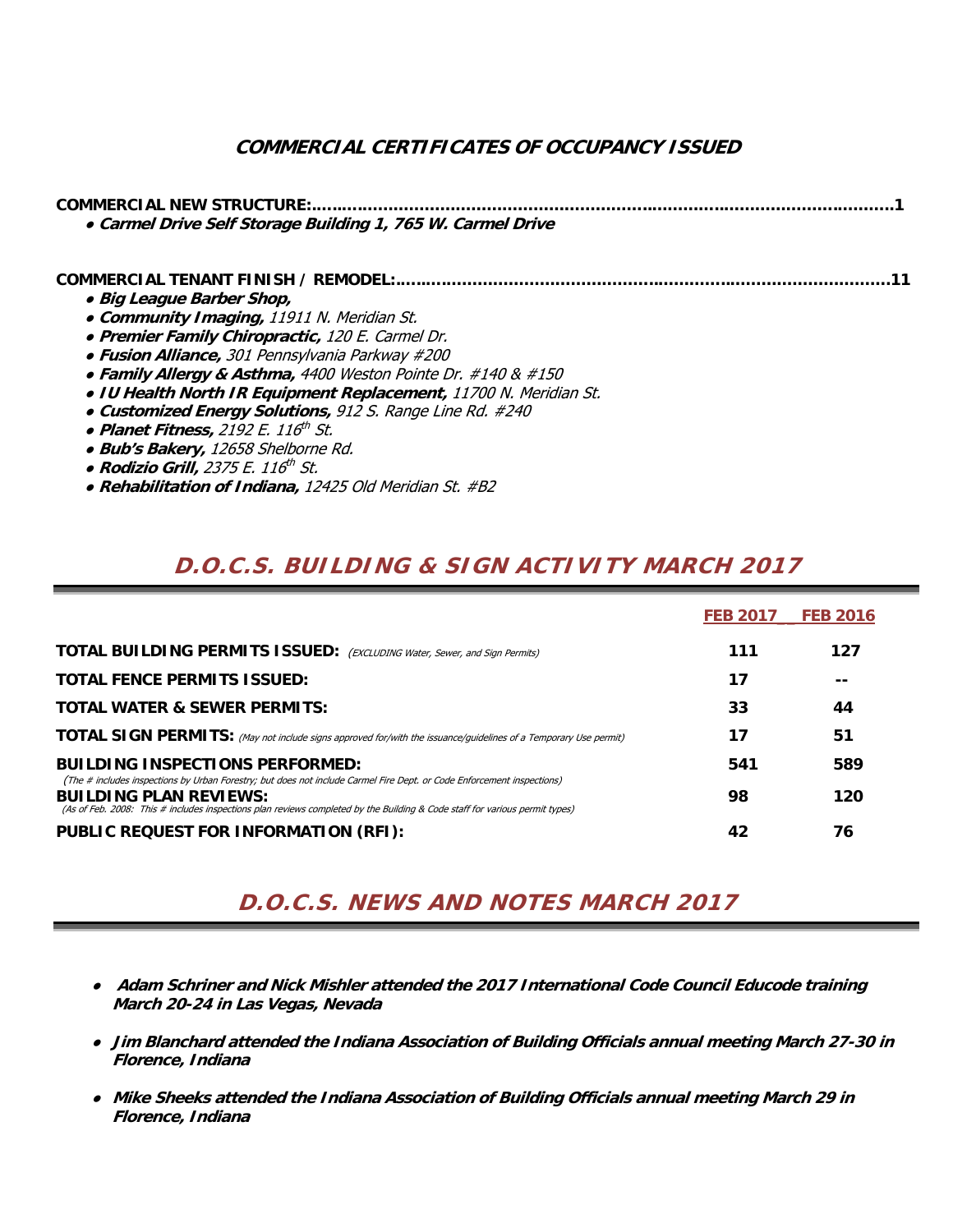# **COMMERCIAL CERTIFICATES OF OCCUPANCY ISSUED**

| <b>COMMERCIAL NEW STRUCTURE:</b><br>• Carmel Drive Self Storage Building 1, 765 W. Carmel Drive |
|-------------------------------------------------------------------------------------------------|
|                                                                                                 |
| COMMERCIAL TENANT FINISH / REMODEL:                                                             |
| · Big League Barber Shop,                                                                       |
| • Community Imaging, 11911 N. Meridian St.                                                      |
| • Premier Family Chiropractic, 120 E. Carmel Dr.                                                |
| • Fusion Alliance, 301 Pennsylvania Parkway #200                                                |
| • Family Allergy & Asthma, 4400 Weston Pointe Dr. #140 & #150                                   |
| · IU Health North IR Equipment Replacement, 11700 N. Meridian St.                               |
| • Customized Energy Solutions, 912 S. Range Line Rd. #240                                       |
| • Planet Fitness, 2192 E. 116 <sup>th</sup> St.                                                 |
| · Bub's Bakery, 12658 Shelborne Rd.                                                             |
| • Rodizio Grill, 2375 E. $116^{th}$ St.                                                         |
| • Rehabilitation of Indiana, 12425 Old Meridian St. #B2                                         |

# **D.O.C.S. BUILDING & SIGN ACTIVITY MARCH 2017**

|                                                                                                                                                                                                                                                                                        | <b>FEB 2017</b> | <b>FEB 2016</b> |
|----------------------------------------------------------------------------------------------------------------------------------------------------------------------------------------------------------------------------------------------------------------------------------------|-----------------|-----------------|
| <b>TOTAL BUILDING PERMITS ISSUED:</b> (EXCLUDING Water, Sewer, and Sign Permits)                                                                                                                                                                                                       | 111             | 127             |
| <b>TOTAL FENCE PERMITS ISSUED:</b>                                                                                                                                                                                                                                                     | 17              | --              |
| <b>TOTAL WATER &amp; SEWER PERMITS:</b>                                                                                                                                                                                                                                                | 33              | 44              |
| <b>TOTAL SIGN PERMITS:</b> (May not include signs approved for/with the issuance/guidelines of a Temporary Use permit)                                                                                                                                                                 | 17              | 51              |
| <b>BUILDING INSPECTIONS PERFORMED:</b>                                                                                                                                                                                                                                                 | 541             | 589             |
| (The # includes inspections by Urban Forestry; but does not include Carmel Fire Dept. or Code Enforcement inspections)<br><b>BUILDING PLAN REVIEWS:</b><br>(As of Feb. 2008: This # includes inspections plan reviews completed by the Building & Code staff for various permit types) | 98              | 120             |
| PUBLIC REQUEST FOR INFORMATION (RFI):                                                                                                                                                                                                                                                  | 42              | 76              |

# **D.O.C.S. NEWS AND NOTES MARCH 2017**

- ● **Adam Schriner and Nick Mishler attended the 2017 International Code Council Educode training March 20-24 in Las Vegas, Nevada**
- **Jim Blanchard attended the Indiana Association of Building Officials annual meeting March 27-30 in Florence, Indiana**
- **Mike Sheeks attended the Indiana Association of Building Officials annual meeting March 29 in Florence, Indiana**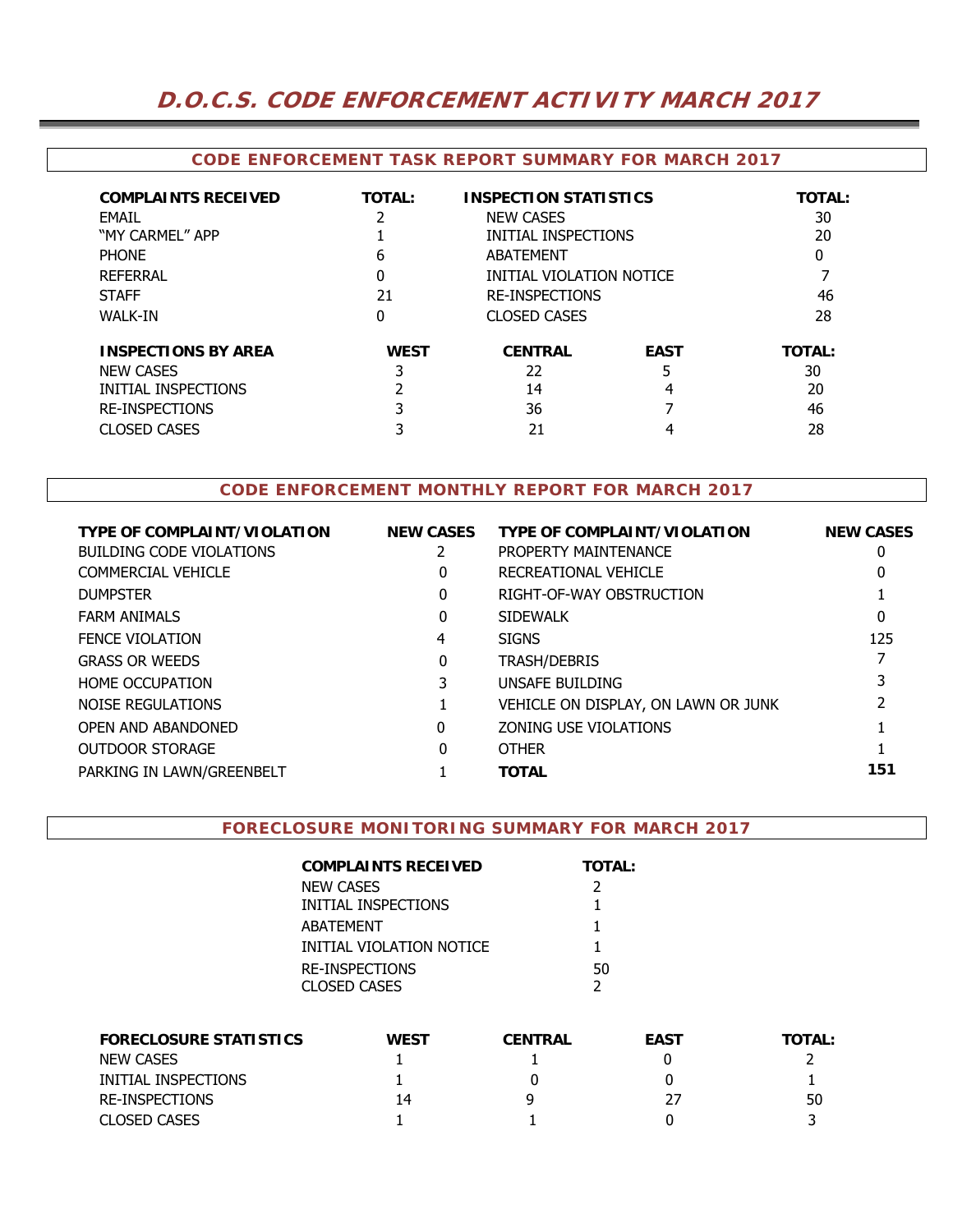# **D.O.C.S. CODE ENFORCEMENT ACTIVITY MARCH 2017**

#### **CODE ENFORCEMENT TASK REPORT SUMMARY FOR MARCH 2017**

| <b>COMPLAINTS RECEIVED</b><br>FMAIL<br>"MY CARMEL" APP | <b>TOTAL:</b> | <b>INSPECTION STATISTICS</b><br><b>NEW CASES</b><br>INITIAL INSPECTIONS | <b>TOTAL:</b><br>30<br>20 |               |
|--------------------------------------------------------|---------------|-------------------------------------------------------------------------|---------------------------|---------------|
| <b>PHONE</b>                                           | 6             | <b>ABATFMFNT</b>                                                        |                           |               |
| <b>REFERRAL</b><br><b>STAFF</b>                        | 0<br>21       | INITIAL VIOLATION NOTICE<br><b>RE-INSPECTIONS</b>                       |                           | 46            |
|                                                        |               |                                                                         |                           |               |
| <b>WALK-IN</b>                                         | 0             | <b>CLOSED CASES</b>                                                     |                           | 28            |
| <b>INSPECTIONS BY AREA</b>                             | <b>WEST</b>   | <b>CENTRAL</b>                                                          | <b>EAST</b>               | <b>TOTAL:</b> |
| <b>NEW CASES</b>                                       | 3             | 22                                                                      | 5                         | 30            |
| INITIAL INSPECTIONS                                    |               | 14                                                                      | 4                         | 20            |
| <b>RE-INSPECTIONS</b>                                  | 3             | 36                                                                      |                           | 46            |
| <b>CLOSED CASES</b>                                    |               | 21                                                                      |                           | 28            |

### **CODE ENFORCEMENT MONTHLY REPORT FOR MARCH 2017**

| <b>TYPE OF COMPLAINT/VIOLATION</b> | <b>NEW CASES</b> | <b>TYPE OF COMPLAINT/VIOLATION</b>  | <b>NEW CASES</b> |
|------------------------------------|------------------|-------------------------------------|------------------|
| BUILDING CODE VIOLATIONS           |                  | PROPERTY MAINTENANCE                | 0                |
| COMMERCIAL VEHICLE                 | 0                | RECREATIONAL VEHICLE                |                  |
| <b>DUMPSTER</b>                    | 0                | RIGHT-OF-WAY OBSTRUCTION            |                  |
| <b>FARM ANIMALS</b>                | 0                | <b>SIDEWALK</b>                     | 0                |
| <b>FENCE VIOLATION</b>             | 4                | <b>SIGNS</b>                        | 125              |
| <b>GRASS OR WEEDS</b>              | 0                | <b>TRASH/DEBRIS</b>                 |                  |
| <b>HOME OCCUPATION</b>             |                  | UNSAFE BUILDING                     |                  |
| NOISE REGULATIONS                  |                  | VEHICLE ON DISPLAY, ON LAWN OR JUNK |                  |
| OPEN AND ABANDONED                 | 0                | ZONING USE VIOLATIONS               |                  |
| OUTDOOR STORAGE                    | 0                | <b>OTHER</b>                        |                  |
| PARKING IN LAWN/GREENBELT          |                  | <b>TOTAL</b>                        | 151              |
|                                    |                  |                                     |                  |

### **FORECLOSURE MONITORING SUMMARY FOR MARCH 2017**

| COMPLAINTS RECEIVED      | <b>TOTAL:</b> |
|--------------------------|---------------|
| NEW CASES                | $\mathcal{L}$ |
| INITIAL INSPECTIONS      |               |
| ABATFMFNT                |               |
| INITIAL VIOLATION NOTICE | 1             |
| RE-INSPECTIONS           | 50            |
| CLOSED CASES             | 2             |

| <b>FORECLOSURE STATISTICS</b> | <b>WEST</b> | <b>CENTRAL</b> | <b>EAST</b> | <b>TOTAL:</b> |
|-------------------------------|-------------|----------------|-------------|---------------|
| <b>NEW CASES</b>              |             |                |             |               |
| INITIAL INSPECTIONS           |             |                |             |               |
| RE-INSPECTIONS                | 14          |                | 27          | 50            |
| <b>CLOSED CASES</b>           |             |                |             |               |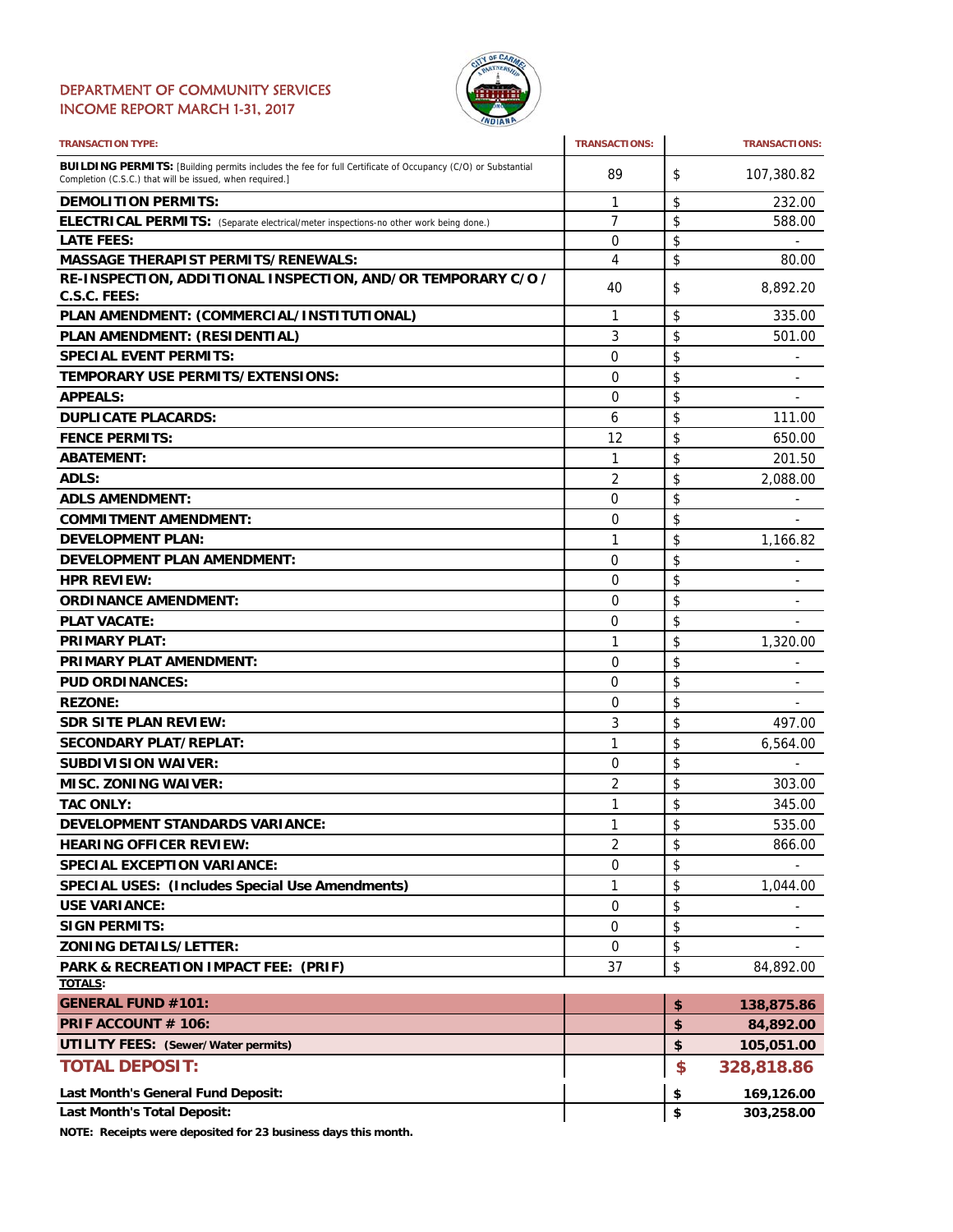#### DEPARTMENT OF COMMUNITY SERVICES INCOME REPORT MARCH 1-31, 2017



| <b>TRANSACTION TYPE:</b>                                                                                                                                                       | <b>TRANSACTIONS:</b> | <b>TRANSACTIONS:</b>           |
|--------------------------------------------------------------------------------------------------------------------------------------------------------------------------------|----------------------|--------------------------------|
| <b>BUILDING PERMITS:</b> [Building permits includes the fee for full Certificate of Occupancy (C/O) or Substantial<br>Completion (C.S.C.) that will be issued, when required.] | 89                   | \$<br>107,380.82               |
| <b>DEMOLITION PERMITS:</b>                                                                                                                                                     | 1                    | \$<br>232.00                   |
| ELECTRICAL PERMITS: (Separate electrical/meter inspections-no other work being done.)                                                                                          | 7                    | \$<br>588.00                   |
| <b>LATE FEES:</b>                                                                                                                                                              | 0                    | \$                             |
| <b>MASSAGE THERAPIST PERMITS/RENEWALS:</b>                                                                                                                                     | 4                    | \$<br>80.00                    |
| RE-INSPECTION, ADDITIONAL INSPECTION, AND/OR TEMPORARY C/O /<br>C.S.C. FEES:                                                                                                   | 40                   | \$<br>8,892.20                 |
| PLAN AMENDMENT: (COMMERCIAL/INSTITUTIONAL)                                                                                                                                     | 1                    | \$<br>335.00                   |
| PLAN AMENDMENT: (RESIDENTIAL)                                                                                                                                                  | 3                    | \$<br>501.00                   |
| <b>SPECIAL EVENT PERMITS:</b>                                                                                                                                                  | 0                    | \$<br>$\overline{\phantom{a}}$ |
| TEMPORARY USE PERMITS/EXTENSIONS:                                                                                                                                              | 0                    | \$<br>L.                       |
| <b>APPEALS:</b>                                                                                                                                                                | 0                    | \$<br>-                        |
| <b>DUPLICATE PLACARDS:</b>                                                                                                                                                     | 6                    | \$<br>111.00                   |
| <b>FENCE PERMITS:</b>                                                                                                                                                          | 12                   | \$<br>650.00                   |
| <b>ABATEMENT:</b>                                                                                                                                                              | 1                    | \$<br>201.50                   |
| <b>ADLS:</b>                                                                                                                                                                   | $\overline{2}$       | \$<br>2,088.00                 |
| <b>ADLS AMENDMENT:</b>                                                                                                                                                         | 0                    | \$                             |
| <b>COMMITMENT AMENDMENT:</b>                                                                                                                                                   | 0                    | \$                             |
| <b>DEVELOPMENT PLAN:</b>                                                                                                                                                       | 1                    | \$<br>1,166.82                 |
| <b>DEVELOPMENT PLAN AMENDMENT:</b>                                                                                                                                             | 0                    | \$                             |
| <b>HPR REVIEW:</b>                                                                                                                                                             | 0                    | \$<br>۰                        |
| <b>ORDINANCE AMENDMENT:</b>                                                                                                                                                    | 0                    | \$                             |
| <b>PLAT VACATE:</b>                                                                                                                                                            | 0                    | \$                             |
| <b>PRIMARY PLAT:</b>                                                                                                                                                           | 1                    | \$<br>1,320.00                 |
| PRIMARY PLAT AMENDMENT:                                                                                                                                                        | 0                    | \$                             |
| <b>PUD ORDINANCES:</b>                                                                                                                                                         | 0                    | \$                             |
| <b>REZONE:</b>                                                                                                                                                                 | 0                    | \$                             |
| <b>SDR SITE PLAN REVIEW:</b>                                                                                                                                                   | 3                    | \$<br>497.00                   |
| <b>SECONDARY PLAT/REPLAT:</b>                                                                                                                                                  | 1                    | \$<br>6,564.00                 |
| <b>SUBDIVISION WAIVER:</b>                                                                                                                                                     | 0                    | \$                             |
| <b>MISC. ZONING WAIVER:</b>                                                                                                                                                    | $\overline{2}$       | \$<br>303.00                   |
| <b>TAC ONLY:</b>                                                                                                                                                               | 1                    | \$<br>345.00                   |
| <b>DEVELOPMENT STANDARDS VARIANCE:</b>                                                                                                                                         | 1                    | \$<br>535.00                   |
| <b>HEARING OFFICER REVIEW:</b>                                                                                                                                                 | 2                    | \$<br>866.00                   |
| <b>SPECIAL EXCEPTION VARIANCE:</b>                                                                                                                                             | 0                    | \$                             |
| <b>SPECIAL USES: (Includes Special Use Amendments)</b>                                                                                                                         | 1                    | \$<br>1,044.00                 |
| <b>USE VARIANCE:</b>                                                                                                                                                           | 0                    | \$                             |
| <b>SIGN PERMITS:</b>                                                                                                                                                           | $\mathbf 0$          | \$<br>$\overline{\phantom{0}}$ |
| <b>ZONING DETAILS/LETTER:</b>                                                                                                                                                  | 0                    | \$                             |
| PARK & RECREATION IMPACT FEE: (PRIF)                                                                                                                                           | 37                   | \$<br>84,892.00                |
| TOTALS:                                                                                                                                                                        |                      |                                |
| <b>GENERAL FUND #101:</b>                                                                                                                                                      |                      | \$<br>138,875.86               |
| PRIF ACCOUNT # 106:                                                                                                                                                            |                      | \$<br>84,892.00                |
| <b>UTILITY FEES:</b> (Sewer/Water permits)                                                                                                                                     |                      | \$<br>105,051.00               |
| <b>TOTAL DEPOSIT:</b>                                                                                                                                                          |                      | \$<br>328,818.86               |
| Last Month's General Fund Deposit:                                                                                                                                             |                      | \$<br>169,126.00               |
| Last Month's Total Deposit:                                                                                                                                                    |                      | \$<br>303,258.00               |

**NOTE: Receipts were deposited for 23 business days this month.**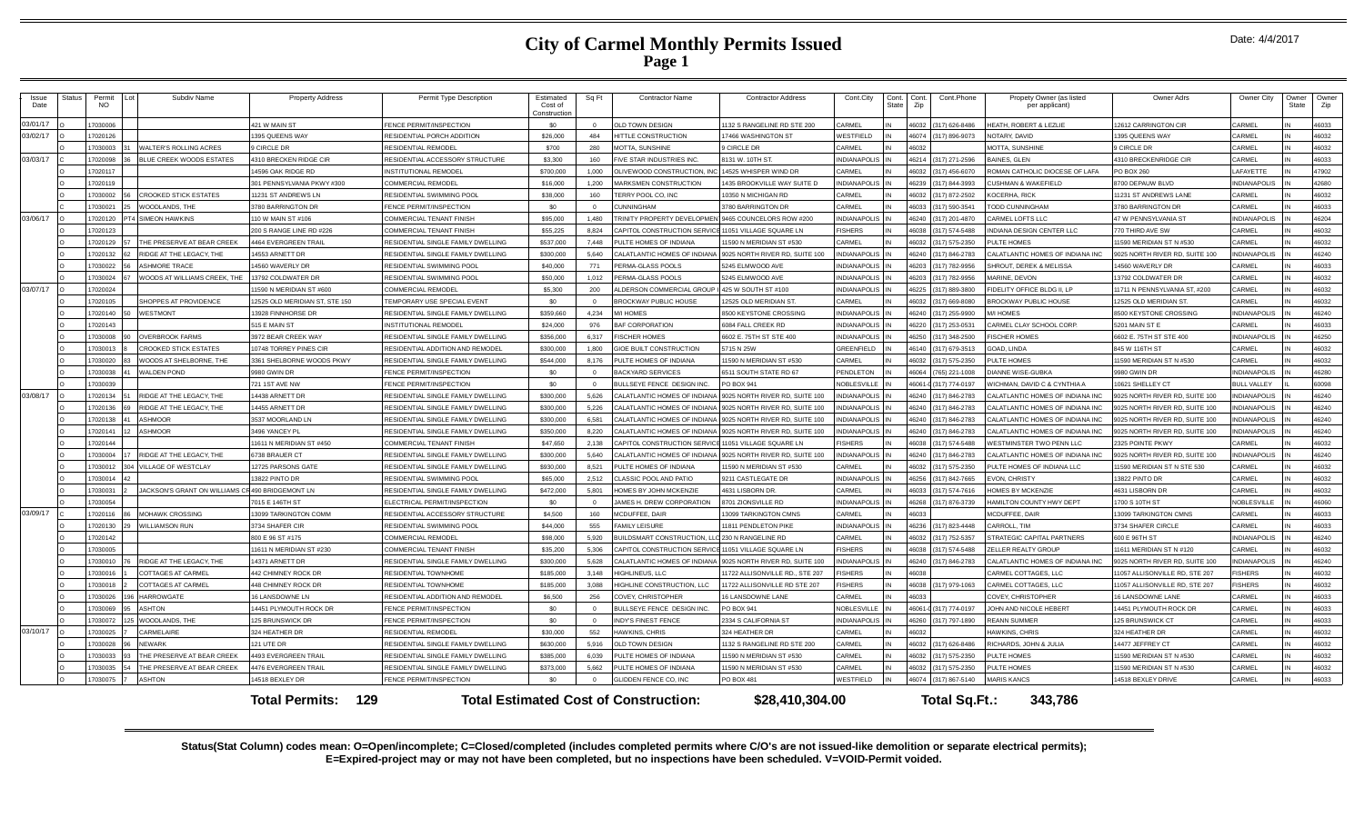## **City of Carmel Monthly Permits Issued Page 1**

| <b>Issue</b><br>Date | Status | Permit<br><b>NO</b> | Subdiv Name                                      | <b>Property Address</b>        | Permit Type Description            | Estimated<br>Cost of<br>Construction | Sq Ft          | <b>Contractor Name</b>                                 | <b>Contractor Address</b>       | Cont.City           | Cont.<br>State | Cont.Phone<br>Cont.<br>Zip     | Propety Owner (as listed<br>per applicant)     | Owner Adrs                     | Owner City          | Owner<br>State | Owner<br>Zip |
|----------------------|--------|---------------------|--------------------------------------------------|--------------------------------|------------------------------------|--------------------------------------|----------------|--------------------------------------------------------|---------------------------------|---------------------|----------------|--------------------------------|------------------------------------------------|--------------------------------|---------------------|----------------|--------------|
| 03/01/17             |        | 7030006             |                                                  | 421 W MAIN ST                  | FENCE PERMIT/INSPECTION            | \$0                                  | $\Omega$       | <b>ILD TOWN DESIGN</b>                                 | 1132 S RANGELINE RD STE 200     | CARMEL              |                | <b>CENAI</b><br>(317) 626-8486 | <b>HEATH, ROBERT &amp; LEZLIE</b>              | 12612 CARRINGTON CIR           | CARMEL              |                | 46033        |
| 03/02/17             |        | 7020126             |                                                  | 1395 QUEENS WAY                | RESIDENTIAL PORCH ADDITION         | \$26,000                             | 484            | <b>HITTLE CONSTRUCTION</b>                             | 17466 WASHINGTON ST             | WESTFIELD           |                | 46074<br>(317) 896-9073        | NOTARY, DAVID                                  | 1395 QUEENS WAY                | CARMEL              |                | 46032        |
|                      |        | 7030003             | <b>VALTER'S ROLLING ACRES</b>                    | 9 CIRCLE DR                    | <b>RESIDENTIAL REMODEL</b>         | \$700                                | 280            | <b>IOTTA, SUNSHINE</b>                                 | <b>CIRCLE DR</b>                | CARMEL              |                | 6032                           | <b>MOTTA, SUNSHINE</b>                         | 9 CIRCLE DR                    | CARMEL              |                | 46032        |
| 03/03/17             |        | 7020098             | LUE CREEK WOODS ESTATES                          | 4310 BRECKEN RIDGE CIR         | RESIDENTIAL ACCESSORY STRUCTURE    | \$3,300                              | 160            | <b>IVE STAR INDUSTRIES INC.</b>                        | 8131 W. 10TH ST                 | <b>INDIANAPOLIS</b> |                | 6214 (317) 271-2596            | <b>BAINES, GLEN</b>                            | 4310 BRECKENRIDGE CIR          | CARMEL              |                | 46033        |
|                      |        | 7020117             |                                                  | 14596 OAK RIDGE RD             | INSTITUTIONAL REMODE               | \$700,000                            | 1,000          | <b>ILIVEWOOD CONSTRUCTION, IN</b>                      | 14525 WHISPER WIND DR           | CARMEL              |                | 46032 (317) 456-6070           | ROMAN CATHOLIC DIOCESE OF LAFA                 | <b>PO BOX 260</b>              | LAFAYETTE           |                | 47902        |
|                      |        | 7020119             |                                                  | 301 PENNSYLVANIA PKWY #300     | COMMERCIAL REMODEL                 | \$16,000                             | 1,200          | <b>MARKSMEN CONSTRUCTION</b>                           | 1435 BROOKVILLE WAY SUITE D     | NDIANAPOLIS         |                | 46239<br>(317) 844-3993        | CUSHMAN & WAKEFIELD                            | 8700 DEPAUW BLVD               | <b>INDIANAPOLIS</b> |                | 42680        |
|                      |        | 7030002             | <b>CROOKED STICK ESTATES</b>                     | 11231 ST ANDREWS LN            | RESIDENTIAL SWIMMING POOL          | \$38,000                             | 160            | ERRY POOL CO. INC                                      | 0350 N MICHIGAN RD              | CARMEL              |                | 46032<br>(317) 872-2502        | <b>KOCERHA, RICK</b>                           | 11231 ST ANDREWS LANE          | CARMEL              |                | 46032        |
|                      |        | 7030021             | <b>VOODLANDS. THE</b>                            | 3780 BARRINGTON DR             | FENCE PERMIT/INSPECTION            | \$0                                  | $\Omega$       | <b>CUNNINGHAM</b>                                      | 3780 BARRINGTON DR              | CARMEL              |                | 8033<br>(317) 590-3541         | <b>TODD CUNNINGHAM</b>                         | 3780 BARRINGTON DE             | CARMEL              |                | 46033        |
| 03/06/17             |        | 7020120             | <b>IMFON HAWKINS</b>                             | 110 W MAIN ST #106             | COMMERCIAL TENANT FINISH           | \$95,000                             | 1,480          | RINITY PROPERTY DEVELOPMEN 9465 COUNCELORS ROW #200    |                                 | NDIANAPOLIS         |                | (317) 201-4870<br>16240        | <b>ARMELIOFTSILC</b>                           | 47 W PENNSYLVANIA ST           | <b>NDIANAPOLIS</b>  |                | 46204        |
|                      |        | 7020123             |                                                  | 200 S RANGE LINE RD #226       | <b>COMMERCIAL TENANT FINISH</b>    | \$55,225                             | 8.824          | <b>CAPITOL CONSTRUCTION SERVIC</b>                     | 11051 VILLAGE SQUARE LN         | <b>FISHERS</b>      |                | 16038<br>(317) 574-5488        | INDIANA DESIGN CENTER LLC                      | 770 THIRD AVE SW               | CARMEL              |                | 46032        |
|                      |        | 7020129             | THE PRESERVE AT BEAR CREEK                       | <b>4464 EVERGREEN TRAIL</b>    | RESIDENTIAL SINGLE FAMILY DWELLING | \$537,000                            | 7.448          | ULTE HOMES OF INDIANA                                  | 11590 N MERIDIAN ST #530        | CARMEL              |                | (317) 575-2350<br><b>CENAI</b> | PULTE HOMES                                    | 11590 MERIDIAN ST N #530       | CARMEL              |                | 46032        |
|                      |        | 7020132             | RIDGE AT THE LEGACY. THE                         | 4553 ARNETT DR                 | RESIDENTIAL SINGLE FAMILY DWELLING | \$300,000                            | 5.640          | ALATLANTIC HOMES OF INDIANA                            | 9025 NORTH RIVER RD, SUITE 100  | <b>NDIANAPOLIS</b>  |                | 46240 (317) 846-2783           | CALATLANTIC HOMES OF INDIANA INC               | 9025 NORTH RIVER RD, SUITE 100 | <b>NDIANAPOLIS</b>  |                | 46240        |
|                      |        | 7030022             | <b>ASHMORE TRACE</b>                             | 14560 WAVERLY DR               | RESIDENTIAL SWIMMING POOL          | \$40,000                             | 771            | PERMA-GLASS POOLS                                      | 5245 ELMWOOD AVE                | <b>NDIANAPOLIS</b>  |                | (317) 782-9956                 | SHROUT, DEREK & MELISSA                        | 14560 WAVERLY DR               | CARMEL              |                | 46033        |
|                      |        | 7030024             | VOODS AT WILLIAMS CREEK. THE                     | 13792 COLDWATER DR             | RESIDENTIAL SWIMMING POOL          | \$50,000                             | 1,012          | <b>ERMA-GLASS POOLS</b>                                | 5245 ELMWOOD AVE                | NDIANAPOLIS         |                | (317) 782-9956<br>16203        | <b>MARINE, DEVON</b>                           | 13792 COLDWATER DR             | CARMEL              |                | 46032        |
| 03/07/17             |        | 7020024             |                                                  | 1590 N MERIDIAN ST #600        | COMMERCIAL REMODEL                 | \$5,300                              | 200            | LDERSON COMMERCIAL GROUP                               | 425 W SOUTH ST #100             | <b>NDIANAPOLIS</b>  |                | (317) 889-3800<br>6225         | <b>IDELITY OFFICE BLDG II, LP</b>              | 11711 N PENNSYLVANIA ST. #200  | CARMEL              |                | 46032        |
|                      |        | 7020105             | SHOPPES AT PROVIDENCE                            | 12525 OLD MERIDIAN ST, STE 150 | <b>EMPORARY USE SPECIAL EVENT</b>  | \$0                                  |                | <b>ROCKWAY PUBLIC HOUSE</b>                            | 12525 OLD MERIDIAN ST.          | CARMEL              |                | (317) 669-8080<br><b>CP031</b> | <b>BROCKWAY PUBLIC HOUSE</b>                   | <b>12525 OLD MERIDIAN ST</b>   | CARMEL              |                | 46032        |
|                      |        | 7020140             | WESTMONT                                         | 13928 FINNHORSE DR             | RESIDENTIAL SINGLE FAMILY DWELLING | \$359,660                            | 4.234          | <b>MIHOMES</b>                                         | 8500 KEYSTONE CROSSING          | <b>INDIANAPOLIS</b> |                | 46240 (317) 255-9900           | <b>M/LHOMES</b>                                | 8500 KEYSTONE CROSSING         | INDIANAPOLIS        |                | 46240        |
|                      |        | 7020143             |                                                  | 515 E MAIN ST                  | NSTITUTIONAL REMODEL               | \$24,000                             | 976            | <b>BAF CORPORATION</b>                                 | 6084 FALL CREEK RD              | <b>NDIANAPOLIS</b>  |                | (317) 253-0531<br>16220        | CARMEL CLAY SCHOOL CORP                        | 5201 MAIN ST E                 | CARMEL              |                | 46033        |
|                      |        | 7030008             | <b>OVERBROOK FARMS</b>                           | 3972 BEAR CREEK WAY            | RESIDENTIAL SINGLE FAMILY DWELLING | \$356,000                            | 6,317          | <b>ISCHER HOMES</b>                                    | 6602 E. 75TH ST STE 400         | NDIANAPOLIS         |                | 16250<br>(317) 348-2500        | <b>ISCHER HOMES</b>                            | 6602 E. 75TH ST STE 400        | NDIANAPOLIS         |                | 46250        |
|                      |        | 7030013             | <b>CROOKED STICK ESTATES</b>                     | 10748 TORREY PINES CIR         | RESIDENTIAL ADDITION AND REMODEL   | \$300,000                            | 1.800          | <b>SIOE BUILT CONSTRUCTION</b>                         | 5715 N 25W                      | <b>GREENFIELD</b>   |                | (6140 (317) 679-3513           | GOAD, LINDA                                    | 845 W 116TH ST                 | CARMEL              |                | 46032        |
|                      |        | 7030020             | <b>VOODS AT SHELBORNE. THE</b>                   | 3361 SHELBORNE WOODS PKWY      | RESIDENTIAL SINGLE FAMILY DWELLING | \$544,000                            | 8.176          | ULTE HOMES OF INDIANA                                  | 1590 N MERIDIAN ST #530         | CARMEI              |                | 317) 575-2350                  | <b>ULTE HOMES</b>                              | 11590 MERIDIAN ST N #530       | CARMEL              |                | 46032        |
|                      |        | 7030038             | <b>WALDEN POND</b>                               | 9980 GWIN DR                   | FENCE PERMIT/INSPECTION            | \$0                                  | $\Omega$       | <b>ACKYARD SERVICES</b>                                | 6511 SOUTH STATE RD 67          | PENDLETON           |                | 46064<br>(765) 221-1008        | DIANNE WISE-GUBKA                              | 9980 GWIN DE                   | <b>INDIANAPOLIS</b> |                | 46280        |
|                      |        | 7030039             |                                                  | 721 1ST AVE NW                 | FENCE PERMIT/INSPECTION            | \$0                                  | $\Omega$       | <b>IULLSEYE FENCE DESIGN INC.</b>                      | <b>PO BOX 941</b>               | NOBLESVILLE         |                | 46061-0 (317) 774-0197         | <b><i>NICHMAN, DAVID C &amp; CYNTHIA A</i></b> | 0621 SHELLEY CT                | <b>BULL VALLEY</b>  |                | 88008        |
| 03/08/17             |        | 7020134             | RIDGE AT THE LEGACY. THE                         | 14438 ARNETT DF                | RESIDENTIAL SINGLE FAMILY DWELLING | \$300,000                            | 5.626          | ALATLANTIC HOMES OF INDIANA                            | 0025 NORTH RIVER RD, SUITE 100  | NDIANAPOLIS         |                | 46240 (317) 846-2783           | ALATLANTIC HOMES OF INDIANA INC                | 0025 NORTH RIVER RD, SUITE 100 | NDIANAPOLIS         |                | 46240        |
|                      |        | 7020136             | RIDGE AT THE LEGACY. THE                         | 14455 ARNETT DE                | RESIDENTIAL SINGLE FAMILY DWELLING | \$300,000                            | 5,226          | CALATI ANTIC HOMES OF INDIANA                          | 9025 NORTH RIVER RD. SUITE 100  | NDIANAPOLIS         |                | (317) 846-2783                 | CALATI ANTIC HOMES OF INDIANA INC              | 1025 NORTH RIVER RD. SUITE 100 | NDIANAPOLIS         |                | 46240        |
|                      |        | 7020138             | <b>ASHMOOR</b>                                   | 3537 MOORLAND LN               | RESIDENTIAL SINGLE FAMILY DWELLING | \$300,000                            | 6.581          | ALATI ANTIC HOMES OF INDIANA                           | 3025 NORTH RIVER RD SUITE 100   | JOIANAPOLIS         |                | (317) 846-2783<br>16240        | ALATLANTIC HOMES OF INDIANA INC                | 1025 NORTH RIVER RD SUITE 100  | <b>SI IORANAICH</b> |                | 46240        |
|                      |        | 7020141             | <b>SHMOOR</b>                                    | 3496 YANCEY PL                 | RESIDENTIAL SINGLE FAMILY DWELLING | \$350,000                            | 8.220          | ALATLANTIC HOMES OF INDIANA                            | 0025 NORTH RIVER RD, SUITE 100  | <b>NDIANAPOLIS</b>  |                | 6240<br>(317) 846-2783         | ALATLANTIC HOMES OF INDIANA INC                | 0025 NORTH RIVER RD, SUITE 100 | <b>VDIANAPOLIS</b>  |                | 46240        |
|                      |        | 7020144             |                                                  | 11611 N MERIDIAN ST #450       | COMMERCIAL TENANT FINISH           | \$47,650                             | 2.138          | CAPITOL CONSTRUCTION SERVIC                            | 11051 VILLAGE SQUARE LN         | <b>ISHERS</b>       |                | (317) 574-5488<br>46038        | <b><i>NESTMINSTER TWO PENN LLC</i></b>         | 2325 POINTE PKWY               | CARMEL              |                | 46032        |
|                      |        | 7030004             | RIDGE AT THE LEGACY, THE                         | 6738 BRAUER CT                 | RESIDENTIAL SINGLE FAMILY DWELLING | \$300,000                            | 5,640          | ALATLANTIC HOMES OF INDIANA                            | 9025 NORTH RIVER RD, SUITE 100  | NDIANAPOLIS         |                | 46240 (317) 846-2783           | CALATLANTIC HOMES OF INDIANA INC               | 9025 NORTH RIVER RD, SUITE 100 | NDIANAPOLIS         |                | 46240        |
|                      |        | 7030012             | VILLAGE OF WESTCLAY                              | 12725 PARSONS GATE             | RESIDENTIAL SINGLE FAMILY DWELLING | \$930,000                            | 8.521          | ULTE HOMES OF INDIANA                                  | 1590 N MERIDIAN ST #530         | <b>ARMEL</b>        |                | (6032 (317) 575-2350           | PULTE HOMES OF INDIANA LLC                     | 11590 MERIDIAN ST N STE 530    | CARMEL              |                | 46032        |
|                      |        | 7030014             |                                                  | 13822 PINTO DR                 | RESIDENTIAL SWIMMING POOL          | \$65,000                             | 2.512          | LASSIC POOL AND PATIO                                  | 9211 CASTLEGATE DR              | INDIANAPOLIS        |                | (317) 842-7665<br>16256        | VON. CHRISTY                                   | 3822 PINTO DR                  | CARMEL              |                | 46032        |
|                      |        | 7030031             | JACKSON'S GRANT ON WILLIAMS CF 490 BRIDGEMONT LN |                                | RESIDENTIAL SINGLE FAMILY DWELLING | \$472,000                            | 5.801          | <b>HOMES BY JOHN MCKENZIE</b>                          | 4631 LISBORN DR                 | CARMEL              |                | (317) 574-7616                 | HOMES BY MCKENZIE                              | 4631 LISBORN DF                | CARMEL              |                | 46032        |
|                      |        | 7030054             |                                                  | 7015 E 146TH ST                | ELECTRICAL PERMIT/INSPECTION       | \$0                                  |                | AMES H. DREW CORPORATION                               | 8701 ZIONSVILLE RD              | <b>NDIANAPOLIS</b>  |                | 317) 876-3739<br>16268         | HAMILTON COUNTY HWY DEPT                       | 1700 S 10TH ST                 | <b>NOBLESVILLE</b>  |                | 46060        |
| 03/09/17             |        | 7020116             | <b>MOHAWK CROSSING</b>                           | 13099 TARKINGTON COMM          | RESIDENTIAL ACCESSORY STRUCTURE    | \$4,500                              | 160            | <b>ACDUEFEE DAIR</b>                                   | 13099 TARKINGTON CMNS           | CARMEL              |                | 26033                          | MCDUFFEE, DAIF                                 | 13099 TARKINGTON CMNS          | CARMEL              |                | 46033        |
|                      |        | 7020130             | <b>WILLIAMSON RUN</b>                            | 3734 SHAFER CIR                | RESIDENTIAL SWIMMING POOL          | \$44,000                             | 555            | AMILY LEISURE                                          | 11811 PENDLETON PIKE            | <b>INDIANAPOLIS</b> |                | 46236 (317) 823-4448           | CARROLL, TIM                                   | 3734 SHAFER CIRCLE             | CARMEL              |                | 46033        |
|                      |        | 7020142             |                                                  | 800 F 96 ST #175               | COMMERCIAL REMODEL                 | \$98,000                             | 5.920          | <b>BUILDSMART CONSTRUCTION, LLC 230 N RANGELINE RD</b> |                                 | CARMEI              |                | (317) 752-5357                 | STRATEGIC CAPITAL PARTNERS                     | 600 E 96TH ST                  | NDIANAPOLIS         |                | 46240        |
|                      |        | 7030005             |                                                  | 11611 N MERIDIAN ST #230       | COMMERCIAL TENANT FINISH           | \$35,200                             | 5.306          | <b>APITOL CONSTRUCTION SERVICE</b>                     | 11051 VILLAGE SOLIARE LN        | <b>ISHERS</b>       |                | (317) 574-5488<br>88031        | <b>ZELLER REALTY GROUP</b>                     | 11611 MERIDIAN ST N #120       | ARMEL               |                | 46032        |
|                      |        | 7030010             | RIDGE AT THE LEGACY. THE                         | 14371 ARNETT DR                | RESIDENTIAL SINGLE FAMILY DWELLING | \$300,000                            | 5.628          | ALATLANTIC HOMES OF INDIANA                            | 9025 NORTH RIVER RD, SUITE 100  | <b>NDIANAPOLI</b>   |                | 317) 846-2783<br>16240         | ALATLANTIC HOMES OF INDIANA INC                | 025 NORTH RIVER RD, SUITE 100  | <b>VDIANAPOLIS</b>  |                | 46240        |
|                      |        | 7030016             | COTTAGES AT CARME                                | 442 CHIMNEY ROCK DR            | RESIDENTIAL TOWNHOME               | \$185,000                            | 3.148          | <b>IGHLINELIS LLC</b>                                  | 11722 ALLISONVILLE RD., STE 207 | <b>ISHERS</b>       |                | 16038                          | CARMEL COTTAGES, LLC                           | 11057 ALLISONVILLE RD, STE 207 | <b>ISHERS</b>       |                | 46032        |
|                      |        | 7030018             | <b>COTTAGES AT CARMEL</b>                        | 448 CHIMNEY ROCK DR            | <b>RESIDENTIAL TOWNHOME</b>        | \$185,000                            | 3.088          | HIGHLINE CONSTRUCTION, LLC                             | 11722 ALLISONVILLE RD STE 207   | <b>ISHERS</b>       |                | 46038 (317) 979-1063           | CARMEL COTTAGES, LLC                           | 11057 ALLISONVILLE RD, STE 207 | <b>ISHERS</b>       |                | 46032        |
|                      |        | 7030026             | <b>HARROWGATE</b>                                | 16 LANSDOWNE LN                | RESIDENTIAL ADDITION AND REMODEL   | \$6,500                              | 256            | OVEY, CHRISTOPHER                                      | 16 LANSDOWNE LANE               | <b>ARMEL</b>        |                | 6033                           | OVEY, CHRISTOPHER                              | <b>6 LANSDOWNE LANE</b>        | CARMEL              |                | 46033        |
|                      |        | 7030069             | ASHTON                                           | 14451 PLYMOUTH ROCK DR         | <b>FENCE PERMIT/INSPECTION</b>     | \$0                                  | $\Omega$       | <b>IULLSEYE FENCE DESIGN INC.</b>                      | PO BOX 941                      | <b>JOBLESVILLE</b>  |                | 6061-0 (317) 774-0197          | JOHN AND NICOLE HEBERT                         | 14451 PLYMOUTH ROCK DR         | <b>CARMEL</b>       |                | 46033        |
|                      |        | 7030072             | WOODLANDS, THE                                   | 125 BRUNSWICK DR               | FENCE PERMIT/INSPECTION            | \$0                                  | $\overline{0}$ | <b>NDY'S FINEST FENCE</b>                              | 2334 S CALIFORNIA ST            | <b>INDIANAPOLIS</b> |                | (317) 797-1890                 | <b>REANN SUMMER</b>                            | <b>125 BRUNSWICK CT</b>        | <b>ARMEL</b>        |                | 46033        |
| 03/10/17             |        | 7030025             | CARMELAIRE                                       | 324 HEATHER DF                 | RESIDENTIAL REMODE                 | \$30,000                             | 552            | <b>AWKINS, CHRIS</b>                                   | 324 HEATHER DR                  | CARME               |                |                                | <b>JAWKINS, CHRIS</b>                          | 324 HEATHER DF                 | CARMEI              |                | 46032        |
|                      |        | 7030028             | NEWARK                                           | 121 UTE DR                     | RESIDENTIAL SINGLE FAMILY DWELLING | \$630,000                            | 5.916          | <b>ID TOWN DESIGN</b>                                  | 1132 S RANGELINE RD STE 200     | CARMEL              |                | (317) 626-8486<br>\$6032       | RICHARDS, JOHN & JULIA                         | 14477 JEFFREY CT               | CARMEL              |                | 46032        |
|                      |        | 7030033             | THE PRESERVE AT BEAR CREEK                       | <b>4493 EVERGREEN TRAIL</b>    | RESIDENTIAL SINGLE FAMILY DWELLING | \$385,000                            | 6.039          | ULTE HOMES OF INDIANA                                  | 11590 N MERIDIAN ST #530        | CARMEI              |                | 46032 (317) 575-2350           | PULTE HOMES                                    | 11590 MERIDIAN ST N #530       | CARMEL              |                | 46032        |
|                      |        | 7030035             | THE PRESERVE AT BEAR CREEK                       | 4476 EVERGREEN TRAIL           | RESIDENTIAL SINGLE FAMILY DWELLING | \$373,000                            | 5.662          | ULTE HOMES OF INDIANA                                  | 11590 N MERIDIAN ST #530        | CARMEL              |                | 6032 (317) 575-2350            | PULTE HOMES                                    | 11590 MERIDIAN ST N #530       | CARMEL              |                | 46032        |
|                      |        | 7030075             | <b>ASHTON</b>                                    | 14518 REXLEY DR                | FENCE PERMIT/INSPECTION            | \$0                                  | $\Omega$       | <b>SLIDDEN FENCE CO. INC</b>                           | PO BOX 481                      | WESTFIELD           |                | 46074 (317) 867-5140           | <b>MARIS KANCS</b>                             | 14518 BEXLEY DRIVE             | <b>ARMEL</b>        |                | 46033        |
|                      |        |                     |                                                  |                                |                                    |                                      |                |                                                        |                                 |                     |                |                                |                                                |                                |                     |                |              |
|                      |        |                     |                                                  | 129<br><b>Total Permits:</b>   |                                    |                                      |                | <b>Total Estimated Cost of Construction:</b>           | \$28,410,304.00                 |                     |                | Total Sq.Ft.:                  | 343.786                                        |                                |                     |                |              |

**Status(Stat Column) codes mean: O=Open/incomplete; C=Closed/completed (includes completed permits where C/O's are not issued-like demolition or separate electrical permits); E=Expired-project may or may not have been completed, but no inspections have been scheduled. V=VOID-Permit voided.**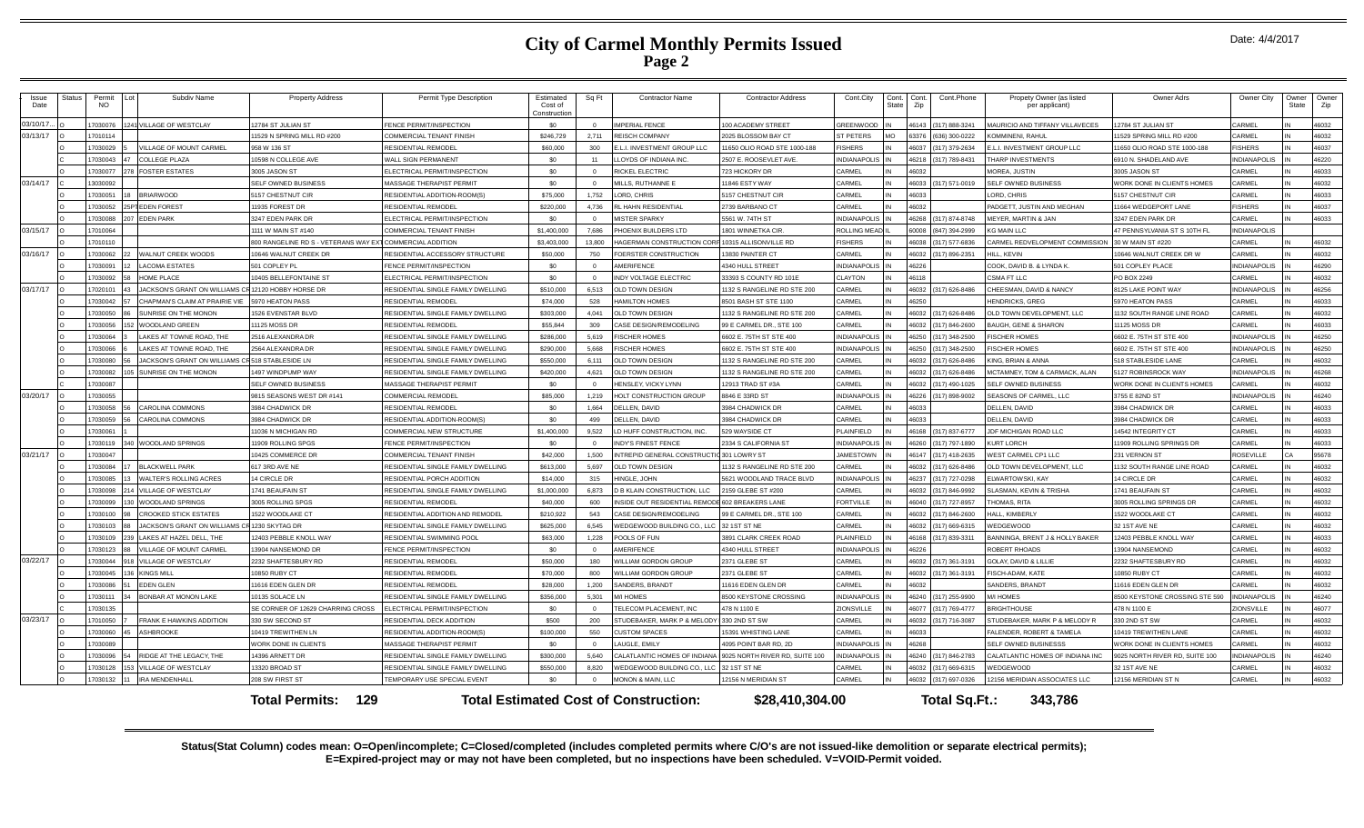## **City of Carmel Monthly Permits Issued Page 2**

| Issue<br>Date | Status | Permit<br><b>NO</b> | Subdiv Name                                     | <b>Property Address</b>                                   | Permit Type Description            | Estimated<br>Cost of<br>Constructio | Sq Ft          | <b>Contractor Name</b>                            | <b>Contractor Address</b>      | Cont.City           | Cont.<br><b>State</b> | Cont.Phone<br>Cont<br>Zip      | Propety Owner (as listed<br>per applicant) | Owner Adrs                     | Owner City          | Owner<br>State | Owne<br>Zip |
|---------------|--------|---------------------|-------------------------------------------------|-----------------------------------------------------------|------------------------------------|-------------------------------------|----------------|---------------------------------------------------|--------------------------------|---------------------|-----------------------|--------------------------------|--------------------------------------------|--------------------------------|---------------------|----------------|-------------|
| 03/10/17.     |        | 7030076             | VILLAGE OF WESTCLAY                             | 12784 ST JULIAN ST                                        | FENCE PERMIT/INSPECTION            | \$0                                 | $\sim$         | <b>IMPERIAL FENCE</b>                             | 100 ACADEMY STREET             | <b>GREENWOOD</b>    |                       | (317) 888-3241<br>46143        | <b>JAURICIO AND TIFFANY VILLAVECES</b>     | 12784 ST JULIAN ST             | CARMEL              |                | 46032       |
| 03/13/17      |        | 7010114             |                                                 | 11529 N SPRING MILL RD #200                               | COMMERCIAL TENANT FINISH           | \$246,729                           | 2,711          | <b>REISCH COMPANY</b>                             | 2025 BLOSSOM BAY CT            | ST PETERS           | <b>MO</b>             | 63376<br>(636) 300-0222        | <b>COMMINENI, RAHU</b>                     | 11529 SPRING MILL RD #200      | CARMEL              |                | 46032       |
|               |        | 7030029             | <b>ILLAGE OF MOUNT CARMEL</b>                   | 958 W 136 ST                                              | <b>RESIDENTIAL REMODEL</b>         | \$60,000                            | 300            | E.L.I. INVESTMENT GROUP LLC                       | 1650 OLIO ROAD STE 1000-188    | <b>ISHERS</b>       |                       | (317) 379-2634<br>46037        | .L.I. INVESTMENT GROUP LLC                 | 11650 OLIO ROAD STE 1000-188   | <b>ISHERS</b>       |                | 46037       |
|               |        | 7030043             | COLLEGE PLAZA                                   | 0598 N COLLEGE AVE                                        | <b>WALL SIGN PERMANENT</b>         | \$0                                 | 11             | LOYDS OF INDIANA INC.                             | 507 F. ROOSEVI ET AVE          | <b>NDIANAPOLI</b>   |                       | 46218<br>(317) 789-8431        | <b>HARP INVESTMENTS</b>                    | 6910 N. SHADELAND AVE          | NDIANAPOLIS         |                | 46220       |
|               |        | 7030077             | FOSTER ESTATES                                  | 3005 JASON ST                                             | ELECTRICAL PERMIT/INSPECTION       | \$0                                 | $\Omega$       | RICKEL ELECTRIC                                   | 723 HICKORY DR                 | CARMEL              |                       | 16032                          | <b>MOREA, JUSTIN</b>                       | 3005 JASON ST                  | CARMEL              |                | 46033       |
| 03/14/17      |        | 3030092             |                                                 | SELF OWNED BUSINESS                                       | <b>MASSAGE THERAPIST PERMIT</b>    | \$0                                 | $\Omega$       | MILLS, RUTHANNE E                                 | 11846 ESTY WAY                 | CARMEL              |                       | (317) 571-0019<br><b>22084</b> | SELF OWNED BUSINESS                        | WORK DONE IN CLIENTS HOMES     | CARMEL              |                | 46032       |
|               |        | 7030051             | <b>BRIARWOOD</b>                                | 5157 CHESTNUT CIR                                         | RESIDENTIAL ADDITION-ROOM(S)       | \$75,000                            | 1.752          | LORD, CHRIS                                       | 5157 CHESTNUT CIF              | CARMEL              |                       | 46033                          | ORD, CHRIS                                 | 5157 CHESTNUT CIR              | CARMEL              | IN             | 46033       |
|               |        | 7030052             | <b>EDEN FOREST</b>                              | 1935 FOREST DR                                            | <b>RESIDENTIAL REMODEL</b>         | \$220,000                           | 4.736          | <b>RL HAHN RESIDENTIAL</b>                        | 739 BARBANO CT                 | ARMEL               |                       | 16032                          | ADGETT, JUSTIN AND MEGHAN                  | 11664 WEDGEPORT LANE           | <b>ISHERS</b>       |                | 46037       |
|               |        | 7030088             | <b>EDEN PARK</b>                                | 3247 EDEN PARK DR                                         | ELECTRICAL PERMIT/INSPECTION       | \$0                                 | $\Omega$       | <b>MISTER SPARKY</b>                              | 5561 W. 74TH ST                | <b>NDIANAPOLIS</b>  |                       | (317) 874-8748<br>46268        | MEYER, MARTIN & JAN                        | 3247 EDEN PARK DR              | ARMEL               |                | 46033       |
| 03/15/17      |        | 7010064             |                                                 | 1111 W MAIN ST #140                                       | <b>COMMERCIAL TENANT FINISH</b>    | \$1,400,000                         | 7.686          | PHOENIX BUILDERS LTD                              | <b>801 WINNETKA CIR</b>        | <b>ROLLING MEAD</b> |                       | 80008<br>(847) 394-2999        | <b>G MAIN LLC</b>                          | 47 PENNSYLVANIA ST S 10TH FL   | <b>NDIANAPOLIS</b>  |                |             |
|               |        | 7010110             |                                                 | 300 RANGELINE RD S - VETERANS WAY EXT COMMERCIAL ADDITION |                                    | \$3,403,000                         | 13.800         | HAGERMAN CONSTRUCTION CO                          | 315 ALLISONVILLE RD            | <b>SHERS</b>        |                       | (317) 577-6836<br>86038        | ARMEL REDVELOPMENT COMMISSION              | 30 W MAIN ST #220              | <b>ARMEL</b>        |                | 46032       |
| 03/16/17      |        | 7030062             | WALNUT CREEK WOODS                              | 10646 WALNUT CREEK DR                                     | RESIDENTIAL ACCESSORY STRUCTURE    | \$50,000                            | 750            | FOERSTER CONSTRUCTION                             | 3830 PAINTER CT                | ARMEL               |                       | (317) 896-2351<br>46032        | <b>HILL KEVIN</b>                          | 10646 WALNUT CREEK DR W        | CARMEL              |                | 46032       |
|               |        | 7030091             | <b>ACOMA ESTATES</b>                            | 501 COPLEY PL                                             | FENCE PERMIT/INSPECTION            | \$0                                 | $\overline{0}$ | AMERIFENCE                                        | 4340 HULL STREET               | <b>NDIANAPOLI</b>   |                       | 46226                          | COOK, DAVID B. & LYNDA K.                  | 501 COPLEY PLACE               | <b>NDIANAPOLIS</b>  |                | 46290       |
|               |        | 7030092             | <b>HOME PLACE</b>                               | 10405 BELLEFONTAINE ST                                    | ELECTRICAL PERMIT/INSPECTION       | \$0                                 | $\overline{0}$ | INDY VOLTAGE ELECTRIC                             | 33393 S COUNTY RD 101E         | CLAYTON             |                       | 46118                          | <b>SMA FT LLC</b>                          | PO BOX 2249                    | CARMEL              |                | 46032       |
| 03/17/17      |        | 7020101             | ACKSON'S GRANT ON WILLIAMS CF                   | 12120 HOBBY HORSE DR                                      | RESIDENTIAL SINGLE FAMILY DWELLING | \$510,000                           | 6,513          | OLD TOWN DESIGN                                   | 132 S RANGELINE RD STE 200     | ARMEL               |                       | (317) 626-8486<br>46032        | CHEESMAN, DAVID & NANCY                    | 8125 LAKE POINT WAY            | INDIANAPOLIS        |                | 46256       |
|               |        | 7030042             | HAPMAN'S CLAIM AT PRAIRIE VIE                   | 5970 HEATON PASS                                          | <b>RESIDENTIAL REMODEL</b>         | \$74,000                            | 528            | <b>HAMILTON HOMES</b>                             | 3501 BASH ST STE 1100          | ARMEI               |                       | 16250                          | <b>IENDRICKS, GREG</b>                     | 5970 HEATON PASS               | ARMEI               |                | 46033       |
|               |        | 7030050             | UNRISE ON THE MONON                             | 526 EVENSTAR BLVD                                         | RESIDENTIAL SINGLE FAMILY DWELLING | \$303,000                           | 4,041          | OLD TOWN DESIGN                                   | 1132 S RANGELINE RD STE 200    | CARMEL              |                       | 46032<br>(317) 626-8486        | OLD TOWN DEVELOPMENT, LLC                  | 1132 SOUTH RANGE LINE ROAD     | CARMEL              |                | 46032       |
|               |        | 7030056             | VOODLAND GREEN                                  | 11125 MOSS DR                                             | RESIDENTIAL REMODEL                | \$55,844                            | 309            | CASE DESIGN/REMODELING                            | 99 E CARMEL DR., STE 100       | <b>ARMEL</b>        |                       | (317) 846-2600<br>46032        | BAUGH, GENE & SHARON                       | <b>11125 MOSS DR</b>           | CARMEL              |                | 46033       |
|               |        | 7030064             | AKES AT TOWNE ROAD. THE                         | 2516 ALEXANDRA DR                                         | RESIDENTIAL SINGLE FAMILY DWELLING | \$286,000                           | 5.619          | <b>FISCHER HOMES</b>                              | 6602 E. 75TH ST STE 400        | <b>NDIANAPOLI</b>   |                       | 46250<br>(317) 348-2500        | <b>ISCHER HOMES</b>                        | 6602 E. 75TH ST STE 400        | <b>INDIANAPOLIS</b> |                | 46250       |
|               |        | 7030066             | AKES AT TOWNE ROAD, THE                         | 2564 ALEXANDRA DR                                         | RESIDENTIAL SINGLE FAMILY DWELLING | \$290,000                           | 5,668          | <b>FISCHER HOMES</b>                              | 6602 E. 75TH ST STE 400        | NDIANAPOLIS         |                       | 46250<br>(317) 348-2500        | <b>ISCHER HOMES</b>                        | 6602 E. 75TH ST STE 400        | <b>INDIANAPOLIS</b> |                | 46250       |
|               |        | 7030080             | ACKSON'S GRANT ON WILLIAMS CF 518 STABLESIDE LN |                                                           | RESIDENTIAL SINGLE FAMILY DWELLING | \$550,000                           | 6,111          | OLD TOWN DESIGN                                   | 132 S RANGELINE RD STE 200     | ARMEL               |                       | (317) 626-8486<br>36032        | (ING, BRIAN & ANNA                         | 518 STABLESIDE LANE            | <b>ARMEL</b>        |                | 46032       |
|               |        | 7030082             | UNRISE ON THE MONON                             | 1497 WINDPUMP WAY                                         | RESIDENTIAL SINGLE FAMILY DWELLING | \$420,000                           | 4.621          | OLD TOWN DESIGN                                   | 132 S RANGELINE RD STE 200     | ARMEL               |                       | (317) 626-8486                 | <b>ICTAMNEY, TOM &amp; CARMACK, ALAN</b>   | 5127 ROBINSROCK WAY            | NDIANAPOLIS         |                | 46268       |
|               |        | 7030087             |                                                 | SELF OWNED BUSINESS                                       | MASSAGE THERAPIST PERMIT           | \$0                                 | $\Omega$       | HENSLEY, VICKY LYNN                               | 2913 TRAD ST #3A               | CARMEL              |                       | (317) 490-1025<br>46032        | SELF OWNED BUSINESS                        | WORK DONE IN CLIENTS HOMES     | CARMEL              |                | 46032       |
| 03/20/17      |        | 7030055             |                                                 | 9815 SEASONS WEST DR #141                                 | <b>COMMERCIAL REMODEI</b>          | \$85,000                            | 1,219          | HOLT CONSTRUCTION GROUP                           | 8846 E 33RD ST                 | NDIANAPOL           |                       | 46226<br>(317) 898-9002        | SEASONS OF CARMEL, LLC                     | 3755 E 82ND ST                 | <b>INDIANAPOLIS</b> |                | 46240       |
|               |        | 7030058             | CAROLINA COMMONS                                | 3984 CHADWICK DF                                          | <b>RESIDENTIAL REMODEL</b>         | \$0                                 | 1.664          | DELLEN, DAVID                                     | <b>3984 CHADWICK DF</b>        | CARMEL              |                       | 46033                          | DELLEN, DAVID                              | 3984 CHADWICK DR               | CARMEL              |                | 46033       |
|               |        | 7030059             | <b>AROLINA COMMONS</b>                          | 984 CHADWICK DR                                           | RESIDENTIAL ADDITION-ROOM(S)       | \$0                                 | 499            | DELLEN, DAVID                                     | <b>3984 CHADWICK DR</b>        | <b>ARMEL</b>        |                       | 46033                          | <b>JELLEN, DAVID</b>                       | 3984 CHADWICK DR               | <b>ARMEL</b>        |                | 46033       |
|               |        | 7030061             |                                                 | 1036 N MICHIGAN RD                                        | COMMERCIAL NEW STRUCTURE           | \$1,400,000                         | 9,522          | LD HUFF CONSTRUCTION, INC.                        | 529 WAYSIDE CT                 | LAINFIELD           |                       | 46168<br>(317) 837-6777        | JDF MICHIGAN ROAD LLC                      | 14542 INTEGRITY CT             | CARMEL              |                | 46033       |
|               |        | 7030119             | WOODLAND SPRINGS                                | 1909 ROLLING SPGS                                         | <b>FENCE PERMIT/INSPECTION</b>     | \$0                                 | $\Omega$       | <b>INDY'S FINEST FENCE</b>                        | <b>2334 S CALIFORNIA ST</b>    | NDIANAPOL           |                       | 46260<br>(317) 797-1890        | <b>URT LORCH</b>                           | 11909 ROLLING SPRINGS DR       | CARMEL              |                | 46033       |
| 03/21/17      |        | 7030047             |                                                 | 10425 COMMERCE DR                                         | <b>COMMERCIAL TENANT FINISH</b>    | \$42,000                            | 1,500          | INTREPID GENERAL CONSTRUCT<br>301 LOWRY ST        |                                | <b>IAMESTOWN</b>    |                       | 46147<br>(317) 418-2635        | <b>VEST CARMEL CP1 LLC</b>                 | 231 VERNON ST                  | ROSEVILLE           | $\sim$         | 95678       |
|               |        | 7030084             | <b>BLACKWELL PARK</b>                           | 617 3RD AVE NE                                            | RESIDENTIAL SINGLE FAMILY DWELLING | \$613,000                           | 5.697          | OLD TOWN DESIGN                                   | 132 S RANGELINE RD STE 200     | ARMEL               |                       | (317) 626-8486<br>46032        | <b>OLD TOWN DEVELOPMENT, LLC</b>           | 1132 SOUTH RANGE LINE ROAD     | CARMEL              |                | 46032       |
|               |        | 7030085             | <b>WALTER'S ROLLING ACRES</b>                   | <b>4 CIRCLE DR</b>                                        | <b>RESIDENTIAL PORCH ADDITION</b>  | \$14,000                            | 315            | HINGLE, JOHN                                      | 5621 WOODLAND TRACE BLVD       | <b>NDIANAPOLI</b>   |                       | 46237<br>(317) 727-0298        | <b>ELWARTOWSKI, KAY</b>                    | 14 CIRCLE DR                   | CARMEL              |                | 46032       |
|               |        | 7030098             | <b>ILLAGE OF WESTCLAY</b>                       | 1741 BEAUFAIN ST                                          | RESIDENTIAL SINGLE FAMILY DWELLING | \$1,000,000                         | 6.873          | <b>D B KLAIN CONSTRUCTION, LLC</b>                | 2159 GLEBE ST #200             | ARMEL               |                       | (317) 846-9992<br>46032        | <b>SLASMAN, KEVIN &amp; TRISHA</b>         | 1741 BEAUFAIN ST               | CARMEL              |                | 46032       |
|               |        | 7030099             | <b>VOODLAND SPRINGS</b>                         | 3005 ROLLING SPGS                                         | <b>RESIDENTIAL REMODEL</b>         | \$40,000                            | 600            | INSIDE OUT RESIDENTIAL REMOD<br>602 BREAKERS LANE |                                | ORTVILLE            |                       | (317) 727-8957<br>46040        | HOMAS, RITA                                | 3005 ROLLING SPRINGS DR        | CARMEL              |                | 46032       |
|               |        | 7030100             | ROOKED STICK ESTATES                            | <b>1522 WOODLAKE CT</b>                                   | RESIDENTIAL ADDITION AND REMODEL   | \$210,922                           | 543            | CASE DESIGN/REMODELING                            | 99 E CARMEL DR., STE 100       | ARMEL               |                       | 36032<br>(317) 846-2600        | ALL, KIMBERLY                              | 1522 WOODLAKE CT               | CARMEL              |                | 46032       |
|               |        | 7030103             | ACKSON'S GRANT ON WILLIAMS CF                   | 1230 SKYTAG DR                                            | RESIDENTIAL SINGLE FAMILY DWELLING | \$625,000                           | 6,545          | WEDGEWOOD BUILDING CO., LLC                       | 32 1ST ST NE                   | <b>ARMEL</b>        |                       | (317) 669-6315<br>36032        | <b>NEDGEWOOD</b>                           | 32 1ST AVE NE                  | CARMEL              |                | 46032       |
|               |        | 7030109             | AKES AT HAZEL DELL, THE                         | 12403 PEBBLE KNOLL WAY                                    | RESIDENTIAL SWIMMING POOL          | \$63,000                            | 1,228          | POOLS OF FUN                                      | 3891 CLARK CREEK ROAD          | PLAINFIELD          |                       | 46168<br>(317) 839-3311        | BANNINGA, BRENT J & HOLLY BAKER            | 12403 PEBBLE KNOLL WAY         | CARMEL              |                | 46033       |
|               |        | 7030123             | <b>ILLAGE OF MOUNT CARMEL</b>                   | 13904 NANSEMOND DR                                        | FENCE PERMIT/INSPECTION            | \$0                                 | $\overline{0}$ | AMERIFENCE                                        | 4340 HULL STREET               | <b>NDIANAPOLI</b>   |                       | 46226                          | ROBERT RHOADS                              | 13904 NANSEMOND                | ARMEI               |                | 46032       |
| 03/22/17      |        | 7030044             | <b>ILLAGE OF WESTCLAY</b>                       | 2232 SHAFTESBURY RD                                       | RESIDENTIAL REMODEL                | \$50,000                            | 180            | <b>WILLIAM GORDON GROUP</b>                       | 2371 GLEBE ST                  | ARMEI               |                       | (317) 361-3191<br>46032        | <b>GOLAY, DAVID &amp; LILLIE</b>           | 2232 SHAFTESBURY RD            | <b>ARMEL</b>        |                | 46032       |
|               |        | 7030045             | <b>KINGS MILL</b>                               | 10850 RUBY CT                                             | RESIDENTIAL REMODEL                | \$70,000                            | 800            | <b>WILLIAM GORDON GROUP</b>                       | 2371 GLEBE ST                  | CARMEL              |                       | 46032<br>(317) 361-3191        | <b>ISCH-ADAM, KATE</b>                     | 10850 RUBY CT                  | CARMEL              |                | 46032       |
|               |        | 7030086             | <b>DEN GLEN</b>                                 | 11616 EDEN GLEN DR                                        | RESIDENTIAL REMODEL                | \$28,000                            | 1.200          | SANDERS, BRANDT                                   | 11616 EDEN GLEN DR             | CARMEL              |                       | 16032                          | SANDERS RRAND                              | 11616 EDEN GLEN DR             | <b>ARMEI</b>        |                | 46032       |
|               |        | 7030111             | <b>BONBAR AT MONON LAKE</b>                     | 10135 SOLACE LN                                           | RESIDENTIAL SINGLE FAMILY DWELLING | \$356,000                           | 5.301          | M/I HOMES                                         | 8500 KEYSTONE CROSSING         | <b>NDIANAPOL</b>    |                       | 46240 (317) 255-9900           | M/LHOMES                                   | 8500 KEYSTONE CROSSING STE 590 | <b>INDIANAPOLIS</b> |                | 46240       |
|               |        | 7030135             |                                                 | SE CORNER OF 12629 CHARRING CROSS                         | ELECTRICAL PERMIT/INSPECTION       | \$0                                 | $\overline{0}$ | TELECOM PLACEMENT, INC                            | 478 N 1100 E                   | <b>IONSVILLE</b>    |                       | (317) 769-4777<br>46077        | <b>BRIGHTHOUSE</b>                         | 478 N 1100 E                   | ZIONSVILLE          |                | 46077       |
| 03/23/17      |        | 7010050             | FRANK E HAWKINS ADDITION                        | 330 SW SECOND ST                                          | RESIDENTIAL DECK ADDITION          | \$500                               | 200            | STUDEBAKER, MARK P & MELODY                       | 330 2ND ST SW                  | ARMEL               |                       | (317) 716-3087<br>46032        | STUDEBAKER, MARK P & MELODY R              | 330 2ND ST SW                  | <b>ARMEL</b>        |                | 46032       |
|               |        | 7030060             | ASHBROOKE                                       | 10419 TREWITHEN LN                                        | RESIDENTIAL ADDITION-ROOM(S)       | \$100,000                           | 550            | <b>CUSTOM SPACES</b>                              | 5391 WHISTING LANE             | ARMEL               |                       | <b>EE084</b>                   | ALENDER, ROBERT & TAMELA                   | 10419 TREWITHEN LANE           | ARMEL               |                | 46032       |
|               |        | 703008              |                                                 | <b><i>NORK DONE IN CLIENTS</i></b>                        | MASSAGE THERAPIST PERMIT           | \$0                                 | $\Omega$       | AUGLE, EMILY                                      | 095 POINT BAR RD, 2D           | NDIANAPOLI          |                       | 16268                          | <b>SELF OWNED BUSINESSS</b>                | WORK DONE IN CLIENTS HOMES     | ARMEL               |                | 46032       |
|               |        | 7030096             | RIDGE AT THE LEGACY, THE                        | 4396 ARNETT DR                                            | RESIDENTIAL SINGLE FAMILY DWELLING | \$300,000                           | 5,640          | CALATLANTIC HOMES OF INDIANA                      | 9025 NORTH RIVER RD, SUITE 100 | NDIANAPOLI:         |                       | 46240<br>(317) 846-2783        | CALATLANTIC HOMES OF INDIANA INC           | 9025 NORTH RIVER RD, SUITE 100 | INDIANAPOLIS        |                | 46240       |
|               |        | 7030128             | <b>VILLAGE OF WESTCLAY</b>                      | 13320 BROAD ST                                            | RESIDENTIAL SINGLE FAMILY DWELLING | \$550,000                           | 8.820          | WEDGEWOOD BUILDING CO., LLC                       | 32 1ST ST NE                   | CARMEL              |                       | 46032<br>(317) 669-6315        | WEDGEWOOD                                  | 32 1ST AVE NE                  | CARMEL              | IN             | 46032       |
|               |        | 7030132             | <b>IRA MENDENHALL</b>                           | 208 SW FIRST ST                                           | TEMPORARY USE SPECIAL EVENT        | \$0                                 | $\Omega$       | <b>MONON &amp; MAIN, LLC</b>                      | 12156 N MERIDIAN ST            | ARMEL               |                       | 317) 697-0326<br>36032         | 2156 MERIDIAN ASSOCIATES LLC               | 12156 MERIDIAN ST N            | CARMEL              |                | 16032       |
|               |        |                     |                                                 | 129<br><b>Total Permits:</b>                              |                                    |                                     |                | <b>Total Estimated Cost of Construction:</b>      | \$28,410,304.00                |                     |                       | Total Sq.Ft.:                  | 343,786                                    |                                |                     |                |             |

**Status(Stat Column) codes mean: O=Open/incomplete; C=Closed/completed (includes completed permits where C/O's are not issued-like demolition or separate electrical permits); E=Expired-project may or may not have been completed, but no inspections have been scheduled. V=VOID-Permit voided.**